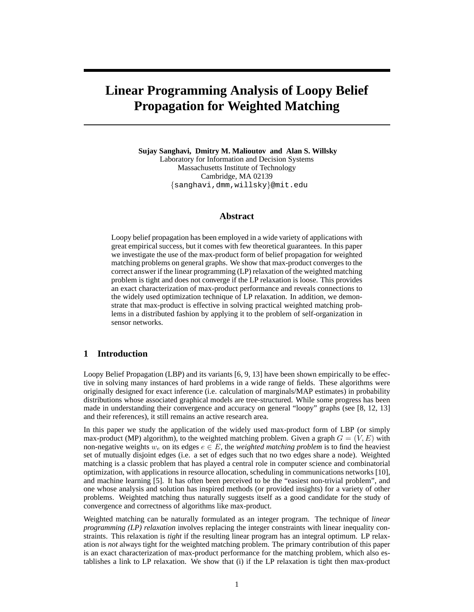# **Linear Programming Analysis of Loopy Belief Propagation for Weighted Matching**

**Sujay Sanghavi, Dmitry M. Malioutov and Alan S. Willsky** Laboratory for Information and Decision Systems Massachusetts Institute of Technology Cambridge, MA 02139 {sanghavi,dmm,willsky}@mit.edu

# **Abstract**

Loopy belief propagation has been employed in a wide variety of applications with great empirical success, but it comes with few theoretical guarantees. In this paper we investigate the use of the max-product form of belief propagation for weighted matching problems on general graphs. We show that max-product converges to the correct answer if the linear programming (LP) relaxation of the weighted matching problem is tight and does not converge if the LP relaxation is loose. This provides an exact characterization of max-product performance and reveals connections to the widely used optimization technique of LP relaxation. In addition, we demonstrate that max-product is effective in solving practical weighted matching problems in a distributed fashion by applying it to the problem of self-organization in sensor networks.

# **1 Introduction**

Loopy Belief Propagation (LBP) and its variants [6, 9, 13] have been shown empirically to be effective in solving many instances of hard problems in a wide range of fields. These algorithms were originally designed for exact inference (i.e. calculation of marginals/MAP estimates) in probability distributions whose associated graphical models are tree-structured. While some progress has been made in understanding their convergence and accuracy on general "loopy" graphs (see [8, 12, 13] and their references), it still remains an active research area.

In this paper we study the application of the widely used max-product form of LBP (or simply max-product (MP) algorithm), to the weighted matching problem. Given a graph  $G = (V, E)$  with non-negative weights  $w_e$  on its edges  $e \in E$ , the *weighted matching problem* is to find the heaviest set of mutually disjoint edges (i.e. a set of edges such that no two edges share a node). Weighted matching is a classic problem that has played a central role in computer science and combinatorial optimization, with applications in resource allocation, scheduling in communications networks [10], and machine learning [5]. It has often been perceived to be the "easiest non-trivial problem", and one whose analysis and solution has inspired methods (or provided insights) for a variety of other problems. Weighted matching thus naturally suggests itself as a good candidate for the study of convergence and correctness of algorithms like max-product.

Weighted matching can be naturally formulated as an integer program. The technique of *linear programming (LP) relaxation* involves replacing the integer constraints with linear inequality constraints. This relaxation is *tight* if the resulting linear program has an integral optimum. LP relaxation is *not* always tight for the weighted matching problem. The primary contribution of this paper is an exact characterization of max-product performance for the matching problem, which also establishes a link to LP relaxation. We show that (i) if the LP relaxation is tight then max-product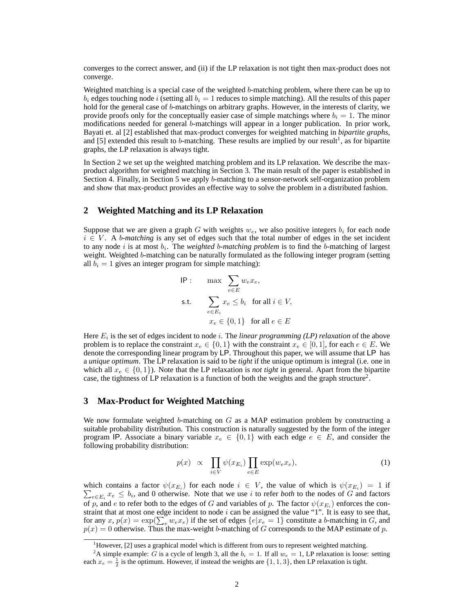converges to the correct answer, and (ii) if the LP relaxation is not tight then max-product does not converge.

Weighted matching is a special case of the weighted b-matching problem, where there can be up to  $b_i$  edges touching node i (setting all  $b_i = 1$  reduces to simple matching). All the results of this paper hold for the general case of b-matchings on arbitrary graphs. However, in the interests of clarity, we provide proofs only for the conceptually easier case of simple matchings where  $b_i = 1$ . The minor modifications needed for general b-matchings will appear in a longer publication. In prior work, Bayati et. al [2] established that max-product converges for weighted matching in *bipartite graphs*, and [5] extended this result to b-matching. These results are implied by our result<sup>1</sup>, as for bipartite graphs, the LP relaxation is always tight.

In Section 2 we set up the weighted matching problem and its LP relaxation. We describe the maxproduct algorithm for weighted matching in Section 3. The main result of the paper is established in Section 4. Finally, in Section 5 we apply b-matching to a sensor-network self-organization problem and show that max-product provides an effective way to solve the problem in a distributed fashion.

## **2 Weighted Matching and its LP Relaxation**

Suppose that we are given a graph G with weights  $w_e$ , we also positive integers  $b_i$  for each node  $i \in V$ . A *b-matching* is any set of edges such that the total number of edges in the set incident to any node  $i$  is at most  $b_i$ . The *weighted* b-matching problem is to find the b-matching of largest weight. Weighted b-matching can be naturally formulated as the following integer program (setting all  $b_i = 1$  gives an integer program for simple matching):

IP : 
$$
\max \sum_{e \in E} w_e x_e
$$
,  
s.t.  $\sum_{e \in E_i} x_e \leq b_i$  for all  $i \in V$ ,  
 $x_e \in \{0, 1\}$  for all  $e \in E$ 

Here  $E_i$  is the set of edges incident to node *i*. The *linear programming (LP) relaxation* of the above problem is to replace the constraint  $x_e \in \{0, 1\}$  with the constraint  $x_e \in [0, 1]$ , for each  $e \in E$ . We denote the corresponding linear program by LP. Throughout this paper, we will assume that LP has a *unique optimum*. The LP relaxation is said to be *tight* if the unique optimum is integral (i.e. one in which all  $x_e \in \{0, 1\}$ ). Note that the LP relaxation is *not tight* in general. Apart from the bipartite case, the tightness of LP relaxation is a function of both the weights and the graph structure<sup>2</sup>.

## **3 Max-Product for Weighted Matching**

We now formulate weighted b-matching on  $G$  as a MAP estimation problem by constructing a suitable probability distribution. This construction is naturally suggested by the form of the integer program IP. Associate a binary variable  $x_e \in \{0,1\}$  with each edge  $e \in E$ , and consider the following probability distribution:

$$
p(x) \propto \prod_{i \in V} \psi(x_{E_i}) \prod_{e \in E} \exp(w_e x_e), \tag{1}
$$

which contains a factor  $\psi(x_{E_i})$  for each node  $i \in V$ , the value of which is  $\psi(x_{E_i}) = 1$  if  $\sum_{e \in E_i} x_e \leq b_i$ , and 0 otherwise. Note that we use i to refer *both* to the nodes of G and factors of p, and e to refer both to the edges of G and variables of p. The factor  $\psi(x_{E_i})$  enforces the constraint that at most one edge incident to node  $i$  can be assigned the value "1". It is easy to see that, for any  $x, p(x) = \exp(\sum_{e} w_e x_e)$  if the set of edges  $\{e | x_e = 1\}$  constitute a b-matching in G, and  $p(x) = 0$  otherwise. Thus the max-weight b-matching of G corresponds to the MAP estimate of p.

 $<sup>1</sup>$ However, [2] uses a graphical model which is different from ours to represent weighted matching.</sup>

<sup>&</sup>lt;sup>2</sup>A simple example: G is a cycle of length 3, all the  $b_i = 1$ . If all  $w_e = 1$ , LP relaxation is loose: setting each  $x_e = \frac{1}{2}$  is the optimum. However, if instead the weights are  $\{1, 1, 3\}$ , then LP relaxation is tight.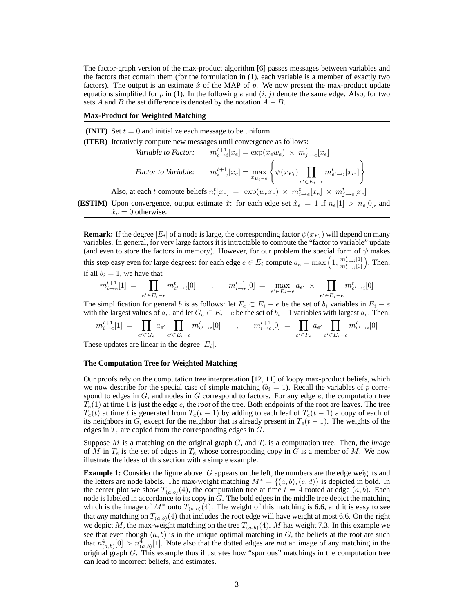The factor-graph version of the max-product algorithm [6] passes messages between variables and the factors that contain them (for the formulation in (1), each variable is a member of exactly two factors). The output is an estimate  $\hat{x}$  of the MAP of p. We now present the max-product update equations simplified for p in (1). In the following e and  $(i, j)$  denote the same edge. Also, for two sets A and B the set difference is denoted by the notation  $A - B$ .

#### **Max-Product for Weighted Matching**

**(INIT)** Set  $t = 0$  and initialize each message to be uniform.

**(ITER)** Iteratively compute new messages until convergence as follows:

Variable to Factor: 
$$
m_{e\to i}^{t+1}[x_e] = \exp(x_e w_e) \times m_{j\to e}^t[x_e]
$$
  
Factor to Variable: 
$$
m_{i\to e}^{t+1}[x_e] = \max_{x_{E_i-e}} \left\{ \psi(x_{E_i}) \prod_{e' \in E_i-e} m_{e'\to i}^t[x_{e'}] \right\}
$$

 $\mathcal{L}$ 

Also, at each t compute beliefs  $n_e^t[x_e] = \exp(w_e x_e) \times m_{i\to e}^t[x_e] \times m_{j\to e}^t[x_e]$ 

**(ESTIM)** Upon convergence, output estimate  $\hat{x}$ : for each edge set  $\hat{x}_e = 1$  if  $n_e[1] > n_e[0]$ , and  $\hat{x}_e = 0$  otherwise.

**Remark:** If the degree  $|E_i|$  of a node is large, the corresponding factor  $\psi(x_{E_i})$  will depend on many variables. In general, for very large factors it is intractable to compute the "factor to variable" update (and even to store the factors in memory). However, for our problem the special form of  $\psi$  makes this step easy even for large degrees: for each edge  $e \in E_i$  compute  $a_e = \max\left(1, \frac{m_{e \to i}^t[1]}{m_{e \to i}^t[0]}\right)$ . Then, if all  $b_i = 1$ , we have that

$$
m_{i \to e}^{t+1}[1] \ = \ \prod_{e' \in E_i - e} m_{e' \to i}^t[0] \qquad , \qquad m_{i \to e}^{t+1}[0] \ = \ \max_{e' \in E_i - e} a_{e'} \times \prod_{e' \in E_i - e} m_{e' \to i}^t[0]
$$

The simplification for general b is as follows: let  $F_e \subset E_i - e$  be the set of  $b_i$  variables in  $E_i - e$ with the largest values of  $a_e$ , and let  $G_e \subset E_i - e$  be the set of  $b_i - 1$  variables with largest  $a_e$ . Then,

$$
m_{i\to e}^{t+1}[1] = \prod_{e' \in G_e} a_{e'} \prod_{e' \in E_i - e} m_{e' \to i}^t[0] \qquad , \qquad m_{i\to e}^{t+1}[0] = \prod_{e' \in F_e} a_{e'} \prod_{e' \in E_i - e} m_{e' \to i}^t[0]
$$

These updates are linear in the degree  $|E_i|$ .

#### **The Computation Tree for Weighted Matching**

Our proofs rely on the computation tree interpretation [12, 11] of loopy max-product beliefs, which we now describe for the special case of simple matching ( $b_i = 1$ ). Recall the variables of p correspond to edges in  $G$ , and nodes in  $G$  correspond to factors. For any edge  $e$ , the computation tree  $\overline{T}_e(1)$  at time 1 is just the edge *e*, the *root* of the tree. Both endpoints of the root are leaves. The tree  $T_e(t)$  at time t is generated from  $T_e(t-1)$  by adding to each leaf of  $T_e(t-1)$  a copy of each of its neighbors in G, except for the neighbor that is already present in  $T_e(t-1)$ . The weights of the edges in  $T_e$  are copied from the corresponding edges in  $G$ .

Suppose  $M$  is a matching on the original graph  $G$ , and  $T_e$  is a computation tree. Then, the *image* of M in  $T_e$  is the set of edges in  $T_e$  whose corresponding copy in G is a member of M. We now illustrate the ideas of this section with a simple example.

**Example 1:** Consider the figure above. G appears on the left, the numbers are the edge weights and the letters are node labels. The max-weight matching  $M^* = \{(a, b), (c, d)\}\$ is depicted in bold. In the center plot we show  $T_{(a,b)}(4)$ , the computation tree at time  $t = 4$  rooted at edge  $(a, b)$ . Each node is labeled in accordance to its copy in  $G$ . The bold edges in the middle tree depict the matching which is the image of  $M^*$  onto  $T_{(a,b)}(4)$ . The weight of this matching is 6.6, and it is easy to see that *any* matching on  $T_{(a,b)}(4)$  that includes the root edge will have weight at most 6.6. On the right we depict M, the max-weight matching on the tree  $T_{(a,b)}(4)$ . M has weight 7.3. In this example we see that even though  $(a, b)$  is in the unique optimal matching in  $G$ , the beliefs at the root are such that  $n^4_{(a,b)}[0] > n^4_{(a,b)}[1]$ . Note also that the dotted edges are *not* an image of any matching in the original graph G. This example thus illustrates how "spurious" matchings in the computation tree can lead to incorrect beliefs, and estimates.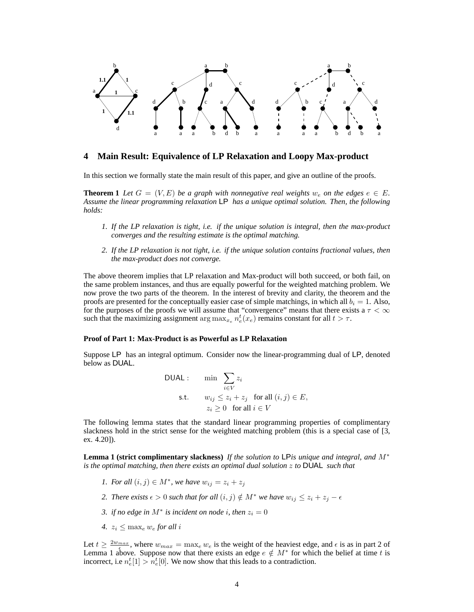

# **4 Main Result: Equivalence of LP Relaxation and Loopy Max-product**

In this section we formally state the main result of this paper, and give an outline of the proofs.

**Theorem 1** Let  $G = (V, E)$  be a graph with nonnegative real weights  $w_e$  on the edges  $e \in E$ . *Assume the linear programming relaxation* LP *has a unique optimal solution. Then, the following holds:*

- *1. If the LP relaxation is tight, i.e. if the unique solution is integral, then the max-product converges and the resulting estimate is the optimal matching.*
- *2. If the LP relaxation is not tight, i.e. if the unique solution contains fractional values, then the max-product does not converge.*

The above theorem implies that LP relaxation and Max-product will both succeed, or both fail, on the same problem instances, and thus are equally powerful for the weighted matching problem. We now prove the two parts of the theorem. In the interest of brevity and clarity, the theorem and the proofs are presented for the conceptually easier case of simple matchings, in which all  $b_i = 1$ . Also, for the purposes of the proofs we will assume that "convergence" means that there exists a  $\tau < \infty$ such that the maximizing assignment  $\arg \max_{x_e} n_e^t(x_e)$  remains constant for all  $t > \tau$ .

#### **Proof of Part 1: Max-Product is as Powerful as LP Relaxation**

Suppose LP has an integral optimum. Consider now the linear-programming dual of LP, denoted below as DUAL.

DUAL:

\n
$$
\min \sum_{i \in V} z_i
$$
\ns.t.

\n
$$
w_{ij} \leq z_i + z_j \quad \text{for all } (i, j) \in E,
$$
\n
$$
z_i \geq 0 \quad \text{for all } i \in V
$$

The following lemma states that the standard linear programming properties of complimentary slackness hold in the strict sense for the weighted matching problem (this is a special case of [3, ex. 4.20]).

**Lemma 1 (strict complimentary slackness)** *If the solution to* LP*is unique and integral, and* M<sup>∗</sup> *is the optimal matching, then there exists an optimal dual solution* z *to* DUAL *such that*

- *1. For all*  $(i, j) \in M^*$ , we have  $w_{ij} = z_i + z_j$
- *2. There exists*  $\epsilon > 0$  *such that for all*  $(i, j) \notin M^*$  *we have*  $w_{ij} \leq z_i + z_j \epsilon$
- *3. if no edge in*  $M^*$  *is incident on node i, then*  $z_i = 0$
- 4.  $z_i \leq \max_e w_e$  *for all i*

Let  $t \geq \frac{2w_{max}}{\epsilon}$ , where  $w_{max} = \max_e w_e$  is the weight of the heaviest edge, and  $\epsilon$  is as in part 2 of Lemma 1 above. Suppose now that there exists an edge  $e \notin M^*$  for which the belief at time t is incorrect, i.e  $n_e^t[1] > n_e^t[0]$ . We now show that this leads to a contradiction.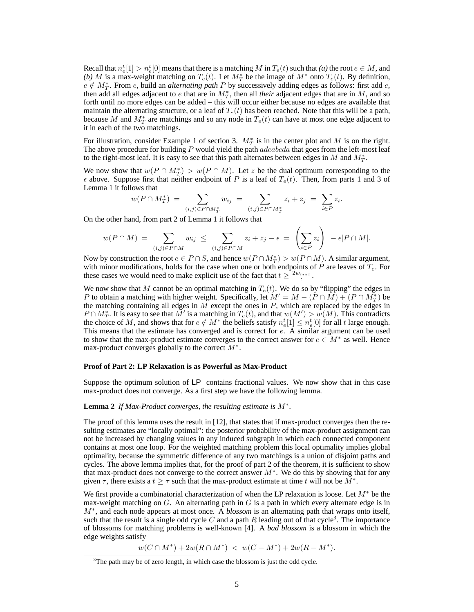Recall that  $n_e^t[1] > n_e^t[0]$  means that there is a matching  $M$  in  $T_e(t)$  such that *(a)* the root  $e \in M$ , and (b) M is a max-weight matching on  $T_e(t)$ . Let  $M_T^*$  be the image of  $M^*$  onto  $T_e(t)$ . By definition,  $e \notin M_T^*$ . From e, build an *alternating path* P by successively adding edges as follows: first add e, then add all edges adjacent to e that are in  $M_T^*$ , then all *their* adjacent edges that are in M, and so forth until no more edges can be added – this will occur either because no edges are available that maintain the alternating structure, or a leaf of  $T_e(t)$  has been reached. Note that this will be a path, because M and  $M_T^*$  are matchings and so any node in  $T_e(t)$  can have at most one edge adjacent to it in each of the two matchings.

For illustration, consider Example 1 of section 3.  $M_T^*$  is in the center plot and M is on the right. The above procedure for building  $P$  would yield the path  $adeabeda$  that goes from the left-most leaf to the right-most leaf. It is easy to see that this path alternates between edges in M and  $M_T^*$ .

We now show that  $w(P \cap M_T^*) > w(P \cap M)$ . Let z be the dual optimum corresponding to the  $\epsilon$  above. Suppose first that neither endpoint of P is a leaf of  $T_e(t)$ . Then, from parts 1 and 3 of Lemma 1 it follows that

$$
w(P \cap M_T^*) = \sum_{(i,j) \in P \cap M_T^*} w_{ij} = \sum_{(i,j) \in P \cap M_T^*} z_i + z_j = \sum_{i \in P} z_i.
$$

On the other hand, from part 2 of Lemma 1 it follows that

$$
w(P \cap M) = \sum_{(i,j) \in P \cap M} w_{ij} \leq \sum_{(i,j) \in P \cap M} z_i + z_j - \epsilon = \left(\sum_{i \in P} z_i\right) - \epsilon |P \cap M|.
$$

Now by construction the root  $e \in P \cap S$ , and hence  $w(P \cap M_T^*) > w(P \cap M)$ . A similar argument, with minor modifications, holds for the case when one or both endpoints of  $P$  are leaves of  $T_e$ . For these cases we would need to make explicit use of the fact that  $t \geq \frac{2w_{max}}{\epsilon}$ .

We now show that M cannot be an optimal matching in  $T_e(t)$ . We do so by "flipping" the edges in P to obtain a matching with higher weight. Specifically, let  $M' = M - (P \cap \tilde{M}) + (P \cap M_T^*)$  be the matching containing all edges in  $M$  except the ones in  $P$ , which are replaced by the edges in  $P \cap M_T^*$ . It is easy to see that  $M'$  is a matching in  $T_e(t)$ , and that  $w(M') > w(M)$ . This contradicts the choice of M, and shows that for  $e \notin M^*$  the beliefs satisfy  $n_e^t[1] \leq n_e^t[0]$  for all t large enough. This means that the estimate has converged and is correct for  $e$ . A similar argument can be used to show that the max-product estimate converges to the correct answer for  $e \in M^*$  as well. Hence max-product converges globally to the correct  $M^*$ .

#### **Proof of Part 2: LP Relaxation is as Powerful as Max-Product**

Suppose the optimum solution of LP contains fractional values. We now show that in this case max-product does not converge. As a first step we have the following lemma.

# **Lemma 2** *If Max-Product converges, the resulting estimate is* M<sup>∗</sup> *.*

The proof of this lemma uses the result in [12], that states that if max-product converges then the resulting estimates are "locally optimal": the posterior probability of the max-product assignment can not be increased by changing values in any induced subgraph in which each connected component contains at most one loop. For the weighted matching problem this local optimality implies global optimality, because the symmetric difference of any two matchings is a union of disjoint paths and cycles. The above lemma implies that, for the proof of part 2 of the theorem, it is sufficient to show that max-product does not converge to the correct answer  $M^*$ . We do this by showing that for any given  $\tau$ , there exists a  $t \geq \tau$  such that the max-product estimate at time t will not be  $\tilde{M}^*$ .

We first provide a combinatorial characterization of when the LP relaxation is loose. Let  $M^*$  be the max-weight matching on  $G$ . An alternating path in  $G$  is a path in which every alternate edge is in M<sup>∗</sup> , and each node appears at most once. A *blossom* is an alternating path that wraps onto itself, such that the result is a single odd cycle C and a path R leading out of that cycle<sup>3</sup>. The importance of blossoms for matching problems is well-known [4]. A *bad blossom* is a blossom in which the edge weights satisfy

 $w(C \cap M^*) + 2w(R \cap M^*) < w(C - M^*) + 2w(R - M^*).$ 

 $3$ The path may be of zero length, in which case the blossom is just the odd cycle.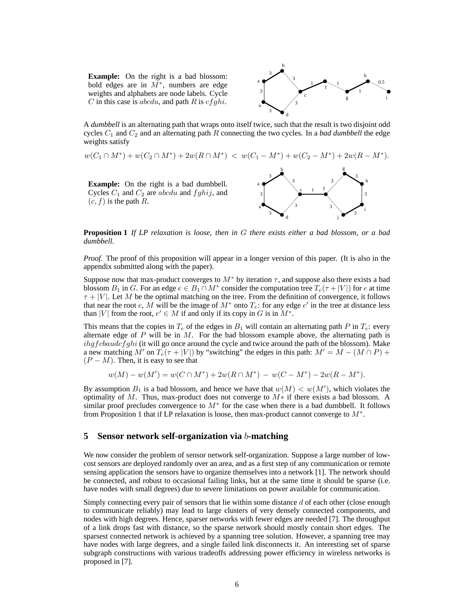**Example:** On the right is a bad blossom: bold edges are in  $\overline{M^*}$ , numbers are edge weights and alphabets are node labels. Cycle C in this case is *abcdu*, and path R is  $cfghi$ .



A *dumbbell* is an alternating path that wraps onto itself twice, such that the result is two disjoint odd cycles  $C_1$  and  $C_2$  and an alternating path R connecting the two cycles. In a *bad dumbbell* the edge weights satisfy



**Proposition 1** *If LP relaxation is loose, then in* G *there exists either a bad blossom, or a bad dumbbell.*

*Proof.* The proof of this proposition will appear in a longer version of this paper. (It is also in the appendix submitted along with the paper).

Suppose now that max-product converges to  $M^*$  by iteration  $\tau$ , and suppose also there exists a bad blossom  $B_1$  in G. For an edge  $e \in B_1 \cap M^*$  consider the computation tree  $T_e(\tau + |V|)$  for e at time  $\tau + |V|$ . Let M be the optimal matching on the tree. From the definition of convergence, it follows that near the root e, M will be the image of  $M^*$  onto  $T_e$ : for any edge e' in the tree at distance less than |V| from the root,  $e' \in M$  if and only if its copy in G is in  $M^*$ .

This means that the copies in  $T_e$  of the edges in  $B_1$  will contain an alternating path P in  $T_e$ : every alternate edge of  $P$  will be in  $M$ . For the bad blossom example above, the alternating path is  $\frac{i\hbar g f \text{c} \text{b} \text{a} \text{u} \text{d} \text{c} f g \text{h} i$  (it will go once around the cycle and twice around the path of the blossom). Make a new matching M' on  $T_e(\tau + |V|)$  by "switching" the edges in this path:  $M' = M - (M \cap P) +$  $(P - M)$ . Then, it is easy to see that

$$
w(M) - w(M') = w(C \cap M^*) + 2w(R \cap M^*) - w(C - M^*) - 2w(R - M^*).
$$

By assumption  $B_1$  is a bad blossom, and hence we have that  $w(M) < w(M')$ , which violates the optimality of M. Thus, max-product does not converge to  $M*$  if there exists a bad blossom. A similar proof precludes convergence to  $M^*$  for the case when there is a bad dumbbell. It follows from Proposition 1 that if LP relaxation is loose, then max-product cannot converge to  $M^*$ .

#### **5 Sensor network self-organization via** b**-matching**

We now consider the problem of sensor network self-organization. Suppose a large number of lowcost sensors are deployed randomly over an area, and as a first step of any communication or remote sensing application the sensors have to organize themselves into a network [1]. The network should be connected, and robust to occasional failing links, but at the same time it should be sparse (i.e. have nodes with small degrees) due to severe limitations on power available for communication.

Simply connecting every pair of sensors that lie within some distance  $d$  of each other (close enough to communicate reliably) may lead to large clusters of very densely connected components, and nodes with high degrees. Hence, sparser networks with fewer edges are needed [7]. The throughput of a link drops fast with distance, so the sparse network should mostly contain short edges. The sparsest connected network is achieved by a spanning tree solution. However, a spanning tree may have nodes with large degrees, and a single failed link disconnects it. An interesting set of sparse subgraph constructions with various tradeoffs addressing power efficiency in wireless networks is proposed in [7].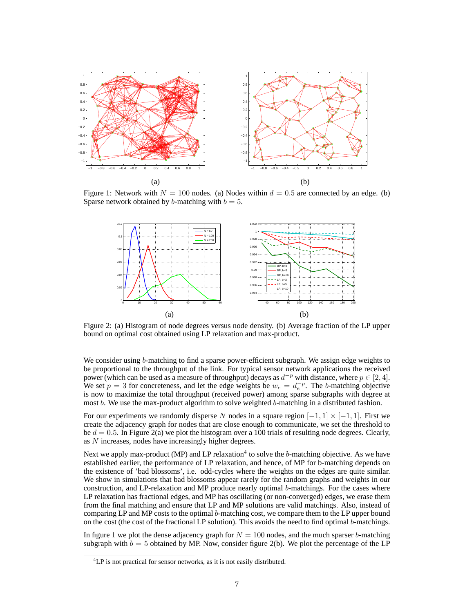

Figure 1: Network with  $N = 100$  nodes. (a) Nodes within  $d = 0.5$  are connected by an edge. (b) Sparse network obtained by b-matching with  $b = 5$ .



Figure 2: (a) Histogram of node degrees versus node density. (b) Average fraction of the LP upper bound on optimal cost obtained using LP relaxation and max-product.

We consider using b-matching to find a sparse power-efficient subgraph. We assign edge weights to be proportional to the throughput of the link. For typical sensor network applications the received power (which can be used as a measure of throughput) decays as  $d^{-p}$  with distance, where  $p \in [2, 4]$ . We set  $p = 3$  for concreteness, and let the edge weights be  $w_e = d_e^{-p}$ . The b-matching objective is now to maximize the total throughput (received power) among sparse subgraphs with degree at most b. We use the max-product algorithm to solve weighted b-matching in a distributed fashion.

For our experiments we randomly disperse N nodes in a square region  $[-1, 1] \times [-1, 1]$ . First we create the adjacency graph for nodes that are close enough to communicate, we set the threshold to be  $d = 0.5$ . In Figure 2(a) we plot the histogram over a 100 trials of resulting node degrees. Clearly, as N increases, nodes have increasingly higher degrees.

Next we apply max-product (MP) and LP relaxation<sup>4</sup> to solve the  $b$ -matching objective. As we have established earlier, the performance of LP relaxation, and hence, of MP for b-matching depends on the existence of 'bad blossoms', i.e. odd-cycles where the weights on the edges are quite similar. We show in simulations that bad blossoms appear rarely for the random graphs and weights in our construction, and LP-relaxation and MP produce nearly optimal b-matchings. For the cases where LP relaxation has fractional edges, and MP has oscillating (or non-converged) edges, we erase them from the final matching and ensure that LP and MP solutions are valid matchings. Also, instead of comparing LP and MP costs to the optimal b-matching cost, we compare them to the LP upper bound on the cost (the cost of the fractional LP solution). This avoids the need to find optimal b-matchings.

In figure 1 we plot the dense adjacency graph for  $N = 100$  nodes, and the much sparser b-matching subgraph with  $b = 5$  obtained by MP. Now, consider figure 2(b). We plot the percentage of the LP

<sup>&</sup>lt;sup>4</sup>LP is not practical for sensor networks, as it is not easily distributed.